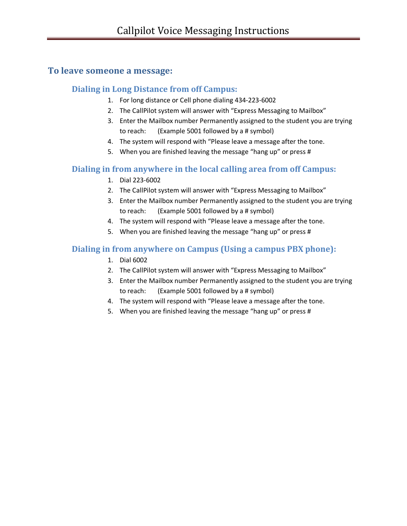## **To leave someone a message:**

#### **Dialing in Long Distance from off Campus:**

- 1. For long distance or Cell phone dialing 434-223-6002
- 2. The CallPilot system will answer with "Express Messaging to Mailbox"
- 3. Enter the Mailbox number Permanently assigned to the student you are trying to reach: (Example 5001 followed by a # symbol)
- 4. The system will respond with "Please leave a message after the tone.
- 5. When you are finished leaving the message "hang up" or press #

# **Dialing in from anywhere in the local calling area from off Campus:**

- 1. Dial 223-6002
- 2. The CallPilot system will answer with "Express Messaging to Mailbox"
- 3. Enter the Mailbox number Permanently assigned to the student you are trying to reach: (Example 5001 followed by a # symbol)
- 4. The system will respond with "Please leave a message after the tone.
- 5. When you are finished leaving the message "hang up" or press #

# **Dialing in from anywhere on Campus (Using a campus PBX phone):**

- 1. Dial 6002
- 2. The CallPilot system will answer with "Express Messaging to Mailbox"
- 3. Enter the Mailbox number Permanently assigned to the student you are trying to reach: (Example 5001 followed by a # symbol)
- 4. The system will respond with "Please leave a message after the tone.
- 5. When you are finished leaving the message "hang up" or press #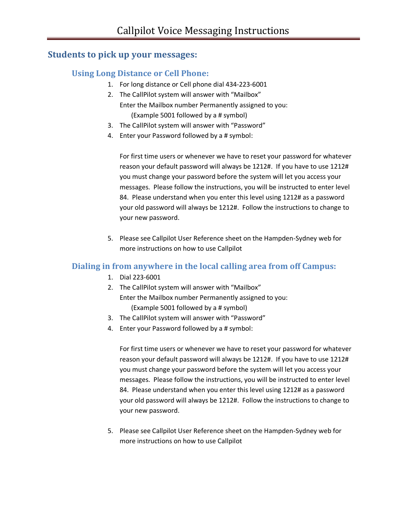# **Students to pick up your messages:**

## **Using Long Distance or Cell Phone:**

- 1. For long distance or Cell phone dial 434-223-6001
- 2. The CallPilot system will answer with "Mailbox" Enter the Mailbox number Permanently assigned to you: (Example 5001 followed by a # symbol)
- 3. The CallPilot system will answer with "Password"
- 4. Enter your Password followed by a # symbol:

For first time users or whenever we have to reset your password for whatever reason your default password will always be 1212#. If you have to use 1212# you must change your password before the system will let you access your messages. Please follow the instructions, you will be instructed to enter level 84. Please understand when you enter this level using 1212# as a password your old password will always be 1212#. Follow the instructions to change to your new password.

5. Please see Callpilot User Reference sheet on the Hampden-Sydney web for more instructions on how to use Callpilot

#### **Dialing in from anywhere in the local calling area from off Campus:**

- 1. Dial 223-6001
- 2. The CallPilot system will answer with "Mailbox" Enter the Mailbox number Permanently assigned to you: (Example 5001 followed by a # symbol)
- 3. The CallPilot system will answer with "Password"
- 4. Enter your Password followed by a # symbol:

For first time users or whenever we have to reset your password for whatever reason your default password will always be 1212#. If you have to use 1212# you must change your password before the system will let you access your messages. Please follow the instructions, you will be instructed to enter level 84. Please understand when you enter this level using 1212# as a password your old password will always be 1212#. Follow the instructions to change to your new password.

5. Please see Callpilot User Reference sheet on the Hampden-Sydney web for more instructions on how to use Callpilot